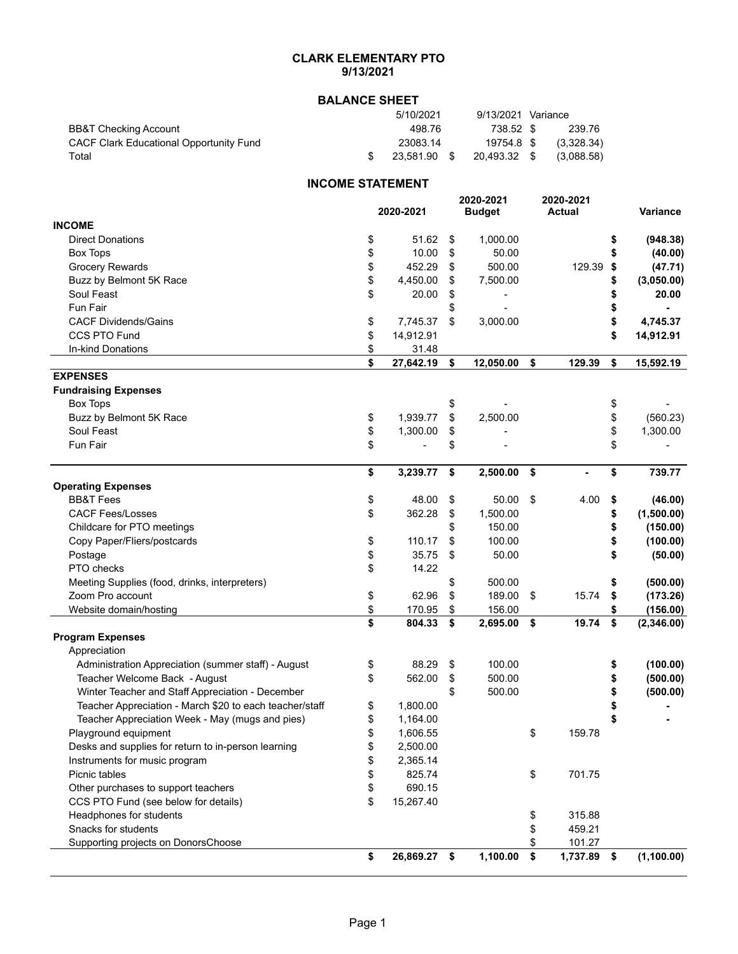## **CLARK ELEMENTARY PTO 9/13/2021**

## **BALANCE SHEET**

|                                         | 5/10/2021    | 9/13/2021 Variance |            |
|-----------------------------------------|--------------|--------------------|------------|
| BB&T Checking Account                   | 498.76       | 738.52 \$          | 239.76     |
| CACF Clark Educational Opportunity Fund | 23083.14     | 19754.8 \$         | (3.328.34) |
| Total                                   | 23.581.90 \$ | 20,493.32 \$       | (3.088.58) |

## **INCOME STATEMENT**

|                                                         |                 | 2020-2021         |      | 2020-2021     |                  |
|---------------------------------------------------------|-----------------|-------------------|------|---------------|------------------|
|                                                         | 2020-2021       | <b>Budget</b>     |      | <b>Actual</b> | Variance         |
| <b>INCOME</b>                                           |                 |                   |      |               |                  |
| <b>Direct Donations</b>                                 | \$<br>51.62     | \$<br>1,000.00    |      |               | \$<br>(948.38)   |
| Box Tops                                                | \$<br>10.00     | \$<br>50.00       |      |               | \$<br>(40.00)    |
| <b>Grocery Rewards</b>                                  | \$<br>452.29    | \$<br>500.00      |      | 129.39        | \$<br>(47.71)    |
| Buzz by Belmont 5K Race                                 | \$<br>4,450.00  | \$<br>7,500.00    |      |               | \$<br>(3,050.00) |
| Soul Feast                                              | \$<br>20.00     | \$                |      |               | \$<br>20.00      |
| Fun Fair                                                |                 | \$                |      |               | \$               |
| <b>CACF Dividends/Gains</b>                             | \$<br>7,745.37  | \$<br>3,000.00    |      |               | \$<br>4,745.37   |
| CCS PTO Fund                                            | \$<br>14,912.91 |                   |      |               | \$<br>14,912.91  |
| In-kind Donations                                       | \$<br>31.48     |                   |      |               |                  |
|                                                         | \$<br>27,642.19 | \$<br>12,050.00   | \$   | 129.39        | \$<br>15,592.19  |
| <b>EXPENSES</b>                                         |                 |                   |      |               |                  |
| <b>Fundraising Expenses</b>                             |                 |                   |      |               |                  |
| <b>Box Tops</b>                                         |                 | \$                |      |               | \$               |
| Buzz by Belmont 5K Race                                 | \$<br>1,939.77  | \$<br>2,500.00    |      |               | \$<br>(560.23)   |
| Soul Feast                                              | \$<br>1,300.00  | \$                |      |               | \$<br>1,300.00   |
| Fun Fair                                                | \$              | \$                |      |               | \$               |
|                                                         | \$<br>3,239.77  | \$<br>2,500.00    | - \$ |               | \$<br>739.77     |
| <b>Operating Expenses</b>                               |                 |                   |      |               |                  |
| <b>BB&amp;T Fees</b>                                    | \$<br>48.00     | \$<br>50.00       | - \$ | 4.00          | \$<br>(46.00)    |
| <b>CACF Fees/Losses</b>                                 | \$<br>362.28    | \$<br>1,500.00    |      |               | \$<br>(1,500.00) |
| Childcare for PTO meetings                              |                 | \$<br>150.00      |      |               | \$<br>(150.00)   |
| Copy Paper/Fliers/postcards                             | \$<br>110.17    | \$<br>100.00      |      |               | \$<br>(100.00)   |
| Postage                                                 | \$<br>35.75     | \$<br>50.00       |      |               | \$<br>(50.00)    |
| PTO checks                                              | \$<br>14.22     |                   |      |               |                  |
| Meeting Supplies (food, drinks, interpreters)           |                 | \$<br>500.00      |      |               | \$<br>(500.00)   |
| Zoom Pro account                                        | \$<br>62.96     | \$<br>189.00      | - \$ | 15.74         | \$<br>(173.26)   |
| Website domain/hosting                                  | \$<br>170.95    | \$<br>156.00      |      |               | \$<br>(156.00)   |
|                                                         | \$<br>804.33    | \$<br>2,695.00 \$ |      | 19.74         | \$<br>(2,346.00) |
| <b>Program Expenses</b>                                 |                 |                   |      |               |                  |
| Appreciation                                            |                 |                   |      |               |                  |
| Administration Appreciation (summer staff) - August     | \$<br>88.29     | \$<br>100.00      |      |               | \$<br>(100.00)   |
| Teacher Welcome Back - August                           | \$<br>562.00    | \$<br>500.00      |      |               | \$<br>(500.00)   |
| Winter Teacher and Staff Appreciation - December        |                 | \$<br>500.00      |      |               | \$<br>(500.00)   |
| Teacher Appreciation - March \$20 to each teacher/staff | \$<br>1,800.00  |                   |      |               |                  |
| Teacher Appreciation Week - May (mugs and pies)         | \$<br>1,164.00  |                   |      |               |                  |
| Playground equipment                                    | \$<br>1,606.55  |                   | \$   | 159.78        |                  |
| Desks and supplies for return to in-person learning     | \$<br>2,500.00  |                   |      |               |                  |
| Instruments for music program                           | \$<br>2,365.14  |                   |      |               |                  |
| Picnic tables                                           | \$<br>825.74    |                   | \$   | 701.75        |                  |
| Other purchases to support teachers                     | \$<br>690.15    |                   |      |               |                  |
| CCS PTO Fund (see below for details)                    | \$<br>15,267.40 |                   |      |               |                  |
| Headphones for students                                 |                 |                   | \$   | 315.88        |                  |
| Snacks for students                                     |                 |                   | \$   | 459.21        |                  |
| Supporting projects on DonorsChoose                     |                 |                   | \$   | 101.27        |                  |
|                                                         | \$<br>26,869.27 | \$<br>1,100.00    | \$   | 1,737.89      | \$<br>(1,100.00) |